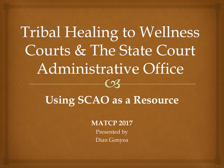#### Tribal Healing to Wellness **Courts & The State Court Administrative Office**  $\Omega$

#### **Using SCAO as a Resource**

**MATCP 2017**

Presented by Dian Gonyea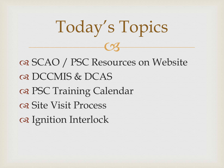#### $C<sub>3</sub>$ os SCAO / PSC Resources on Website Q DCCMIS & DCAS PSC Training Calendar os Site Visit Process a Ignition Interlock

Today's Topics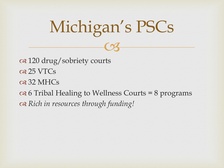# Michigan's PSCs

 $C<sub>3</sub>$ 

 120 drug/sobriety courts  $\alpha$  **25 VTCs** os 32 MHCs  $\infty$  6 Tribal Healing to Wellness Courts = 8 programs *Rich in resources through funding!*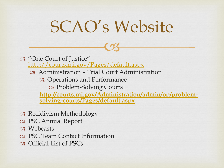### SCAO's Website

 $C<sub>3</sub>$ 

 "One Court of Justice" <http://courts.mi.gov/Pages/default.aspx> Administration – Trial Court Administration Operations and Performance Problem-Solving Courts **[http://courts.mi.gov/Administration/admin/op/problem](http://courts.mi.gov/Administration/admin/op/problem-solving-courts/Pages/default.aspx)solving-courts/Pages/default.aspx**

- Recidivism Methodology
- PSC Annual Report
- o<sub>8</sub> Webcasts
- PSC Team Contact Information
- of Official List of PSCs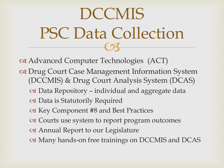### $\overline{\text{CS}}$ DCCMIS PSC Data Collection

 Advanced Computer Technologies (ACT) Drug Court Case Management Information System (DCCMIS) & Drug Court Analysis System (DCAS) Data Repository – individual and aggregate data Data is Statutorily Required Key Component #8 and Best Practices Courts use system to report program outcomes Annual Report to our Legislature Many hands-on free trainings on DCCMIS and DCAS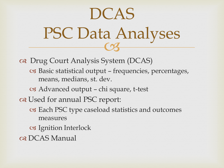### $\frac{1}{3}$ DCAS PSC Data Analyses

 Drug Court Analysis System (DCAS) Basic statistical output – frequencies, percentages, means, medians, st. dev.

Advanced output – chi square, t-test

one Used for annual PSC report:

- Each PSC type caseload statistics and outcomes measures
- Ignition Interlock
- os DCAS Manual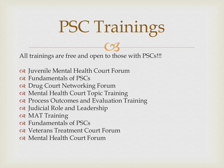# PSC Trainings

All trainings are free and open to those with PSCs  $\overline{\text{C3}}$ !!!

- Juvenile Mental Health Court Forum
- Fundamentals of PSCs
- Drug Court Networking Forum
- Mental Health Court Topic Training
- Process Outcomes and Evaluation Training
- Judicial Role and Leadership
- MAT Training
- Fundamentals of PSCs
- Veterans Treatment Court Forum
- Mental Health Court Forum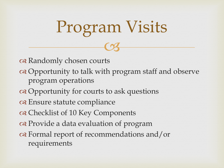$C<sub>3</sub>$ a Randomly chosen courts of Opportunity to talk with program staff and observe program operations Opportunity for courts to ask questions Ensure statute compliance ca Checklist of 10 Key Components or Provide a data evaluation of program Formal report of recommendations and/or requirements

Program Visits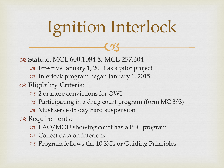# $C<sub>3</sub>$ Ignition Interlock

**⊗ Statute: MCL 600.1084 & MCL 257.304** 

- Effective January 1, 2011 as a pilot project
- Interlock program began January 1, 2015
- Eligibility Criteria:
	- 2 or more convictions for OWI
	- Participating in a drug court program (form MC 393)
	- Must serve 45 day hard suspension
- a Requirements:
	- LAO/MOU showing court has a PSC program
	- Collect data on interlock
	- Program follows the 10 KCs or Guiding Principles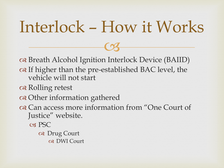### Interlock – How it Works

 $C<sub>3</sub>$ 

 Breath Alcohol Ignition Interlock Device (BAIID) on If higher than the pre-established BAC level, the vehicle will not start

Rolling retest

Other information gathered

 Can access more information from "One Court of Justice" website.

**C<sub>8</sub>** PSC

 Drug Court DWI Court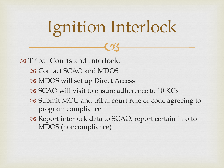# $C<sub>3</sub>$ Ignition Interlock

Tribal Courts and Interlock:

- Contact SCAO and MDOS
- MDOS will set up Direct Access
- SCAO will visit to ensure adherence to 10 KCs
- Submit MOU and tribal court rule or code agreeing to program compliance
- Report interlock data to SCAO; report certain info to MDOS (noncompliance)